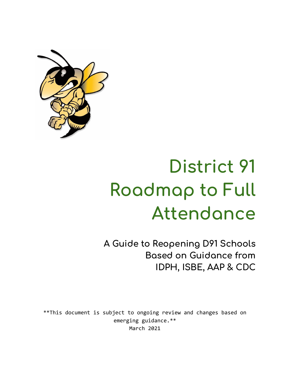

# **District 91 Roadmap to Full Attendance**

**A Guide to Reopening D91 Schools Based on Guidance from IDPH, ISBE, AAP & CDC**

\*\*This document is subject to ongoing review and changes based on emerging guidance.\*\* March 2021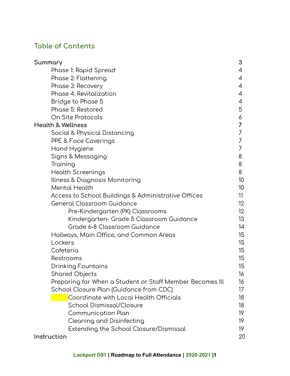# **Table of Contents**

| Summary                                                  | 3               |
|----------------------------------------------------------|-----------------|
| Phase 1: Rapid Spread                                    | 4               |
| Phase 2: Flattening                                      | 4               |
| Phase 3: Recovery                                        | 4               |
| Phase 4: Revitalization                                  | 4               |
| Bridge to Phase 5                                        | 4               |
| Phase 5: Restored                                        | 5               |
| On Site Protocols                                        | 6               |
| <b>Health &amp; Wellness</b>                             | 7               |
| Social & Physical Distancing                             | 7               |
| PPE & Face Coverings                                     | 7               |
| Hand Hygiene                                             | 7               |
| Signs & Messaging                                        | 8               |
| Training                                                 | 8               |
| <b>Health Screenings</b>                                 | 8               |
| Illness & Diagnosis Monitoring                           | 10 <sup>°</sup> |
| <b>Mental Health</b>                                     | 10 <sup>°</sup> |
| Access to School Buildings & Administrative Offices      | 11              |
| General Classroom Guidance                               | 12 <sup>°</sup> |
| Pre-Kindergarten (PK) Classrooms                         | 12 <sup>°</sup> |
| Kindergarten- Grade 5 Classroom Guidance                 | 13              |
| Grade 6-8 Classroom Guidance                             | 14              |
| Hallways, Main Office, and Common Areas                  | 15              |
| Lockers                                                  | 15              |
| Cafeteria                                                | 15              |
| Restrooms                                                | 15              |
| Drinking Fountains                                       | 15              |
| <b>Shared Objects</b>                                    | 16              |
| Preparing for When a Student or Staff Member Becomes Ill | 16              |
| School Closure Plan (Guidance from CDC)                  | 17              |
| Coordinate with Local Health Officials                   | 18              |
| <b>School Dismissal/Closure</b>                          | 18              |
| <b>Communication Plan</b>                                | 19              |
| Cleaning and Disinfecting                                | 19              |
| Extending the School Closure/Dismissal                   | 19              |
| Instruction                                              | 20              |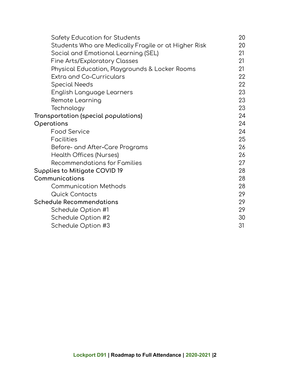| Safety Education for Students                        | 20 |
|------------------------------------------------------|----|
| Students Who are Medically Fragile or at Higher Risk | 20 |
| Social and Emotional Learning (SEL)                  | 21 |
| <b>Fine Arts/Exploratory Classes</b>                 | 21 |
| Physical Education, Playgrounds & Locker Rooms       | 21 |
| <b>Extra and Co-Curriculars</b>                      | 22 |
| Special Needs                                        | 22 |
| English Language Learners                            | 23 |
| Remote Learning                                      | 23 |
| Technology                                           | 23 |
| Transportation (special populations)                 | 24 |
| Operations                                           | 24 |
| <b>Food Service</b>                                  | 24 |
| <b>Facilities</b>                                    | 25 |
| Before- and After-Care Programs                      | 26 |
| <b>Health Offices (Nurses)</b>                       | 26 |
| <b>Recommendations for Families</b>                  | 27 |
| Supplies to Mitigate COVID 19                        | 28 |
| Communications                                       | 28 |
| <b>Communication Methods</b>                         | 28 |
| <b>Quick Contacts</b>                                | 29 |
| <b>Schedule Recommendations</b>                      | 29 |
| Schedule Option #1                                   | 29 |
| Schedule Option #2                                   | 30 |
| Schedule Option #3                                   | 31 |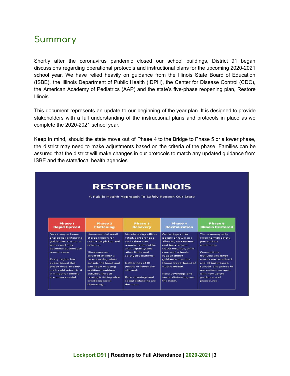# **Summary**

Shortly after the coronavirus pandemic closed our school buildings, District 91 began discussions regarding operational protocols and instructional plans for the upcoming 2020-2021 school year. We have relied heavily on guidance from the Illinois State Board of Education (ISBE), the Illinois Department of Public Health (IDPH), the Center for Disease Control (CDC), the American Academy of Pediatrics (AAP) and the state's five-phase reopening plan, Restore Illinois.

This document represents an update to our beginning of the year plan. It is designed to provide stakeholders with a full understanding of the instructional plans and protocols in place as we complete the 2020-2021 school year.

Keep in mind, should the state move out of Phase 4 to the Bridge to Phase 5 or a lower phase, the district may need to make adjustments based on the criteria of the phase. Families can be assured that the district will make changes in our protocols to match any updated guidance from ISBE and the state/local health agencies.

|                                         |                                            |                                                     |                                                 | <b>RESTORE ILLINOIS</b>                      |  |  |  |  |  |  |
|-----------------------------------------|--------------------------------------------|-----------------------------------------------------|-------------------------------------------------|----------------------------------------------|--|--|--|--|--|--|
|                                         |                                            | A Public Health Approach To Safely Reopen Our State |                                                 |                                              |  |  |  |  |  |  |
| <b>Phase 1</b><br><b>Rapid Spread</b>   | <b>Phase 2</b><br><b>Flattening</b>        | <b>Phase 3</b><br><b>Recovery</b>                   | Phase 4<br><b>Revitalization</b>                | Phase 5<br><b>Illinois Restored</b>          |  |  |  |  |  |  |
| Strict stay at home                     | Non-essential retail                       | Manufacturing, offices,                             | Gatherings of 50                                | The economy fully                            |  |  |  |  |  |  |
| and social distancing                   | stores reopen for                          | retail, barbershops                                 | people or fewer are                             | reopens with safety                          |  |  |  |  |  |  |
| quidelines are put in                   | curb-side pickup and                       | and salons can                                      | allowed, restaurants                            | precautions                                  |  |  |  |  |  |  |
| place, and only<br>essential businesses | delivery.                                  | reopen to the public<br>with capacity and           | and bars reopen,<br>travel resumes, child       | continuing.                                  |  |  |  |  |  |  |
| remain open.                            | Illinoisans are                            | other limits and                                    | care and schools                                | Conventions.                                 |  |  |  |  |  |  |
|                                         | directed to wear a                         | safety precautions.                                 | reopen under                                    | festivals and large                          |  |  |  |  |  |  |
| <b>Every region has</b>                 | face covering when                         |                                                     | quidance from the                               | events are permitted,                        |  |  |  |  |  |  |
| experienced this<br>phase once already  | outside the home and<br>can begin enjoying | Gatherings of 10<br>people or fewer are             | <b>Illinois Department of</b><br>Public Health. | and all businesses.<br>schools and places of |  |  |  |  |  |  |
| and could return to it                  | additional outdoor                         | allowed                                             |                                                 | recreation can open                          |  |  |  |  |  |  |
| if mitigation efforts                   | activities like golf,                      |                                                     | Face coverings and                              | with new safety                              |  |  |  |  |  |  |
| are unsuccessful.                       | boating & fishing while                    | Face coverings and                                  | social distancing are                           | quidance and                                 |  |  |  |  |  |  |
|                                         | practicing social                          | social distancing are                               | the norm.                                       | procedures.                                  |  |  |  |  |  |  |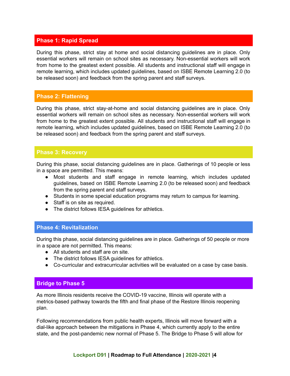# **Phase 1: Rapid Spread**

During this phase, strict stay at home and social distancing guidelines are in place. Only essential workers will remain on school sites as necessary. Non-essential workers will work from home to the greatest extent possible. All students and instructional staff will engage in remote learning, which includes updated guidelines, based on ISBE Remote Learning 2.0 (to be released soon) and feedback from the spring parent and staff surveys.

# **Phase 2: Flattening**

During this phase, strict stay-at-home and social distancing guidelines are in place. Only essential workers will remain on school sites as necessary. Non-essential workers will work from home to the greatest extent possible. All students and instructional staff will engage in remote learning, which includes updated guidelines, based on ISBE Remote Learning 2.0 (to be released soon) and feedback from the spring parent and staff surveys.

#### **Phase 3: Recovery**

During this phase, social distancing guidelines are in place. Gatherings of 10 people or less in a space are permitted. This means:

- Most students and staff engage in remote learning, which includes updated guidelines, based on ISBE Remote Learning 2.0 (to be released soon) and feedback from the spring parent and staff surveys.
- Students in some special education programs may return to campus for learning.
- Staff is on site as required.
- The district follows IESA guidelines for athletics.

#### **Phase 4: Revitalization**

During this phase, social distancing guidelines are in place. Gatherings of 50 people or more in a space are not permitted. This means:

- All students and staff are on site.
- The district follows IESA guidelines for athletics.
- Co-curricular and extracurricular activities will be evaluated on a case by case basis.

#### **Bridge to Phase 5**

As more Illinois residents receive the COVID-19 vaccine, Illinois will operate with a metrics-based pathway towards the fifth and final phase of the Restore Illinois reopening plan.

Following recommendations from public health experts, Illinois will move forward with a dial-like approach between the mitigations in Phase 4, which currently apply to the entire state, and the post-pandemic new normal of Phase 5. The Bridge to Phase 5 will allow for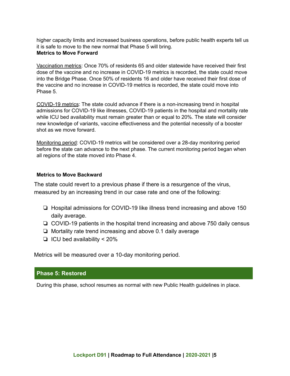higher capacity limits and increased business operations, before public health experts tell us it is safe to move to the new normal that Phase 5 will bring. **Metrics to Move Forward**

Vaccination metrics: Once 70% of residents 65 and older statewide have received their first dose of the vaccine and no increase in COVID-19 metrics is recorded, the state could move into the Bridge Phase. Once 50% of residents 16 and older have received their first dose of the vaccine and no increase in COVID-19 metrics is recorded, the state could move into Phase 5.

COVID-19 metrics: The state could advance if there is a non-increasing trend in hospital admissions for COVID-19 like illnesses, COVID-19 patients in the hospital and mortality rate while ICU bed availability must remain greater than or equal to 20%. The state will consider new knowledge of variants, vaccine effectiveness and the potential necessity of a booster shot as we move forward.

Monitoring period: COVID-19 metrics will be considered over a 28-day monitoring period before the state can advance to the next phase. The current monitoring period began when all regions of the state moved into Phase 4.

#### **Metrics to Move Backward**

The state could revert to a previous phase if there is a resurgence of the virus, measured by an increasing trend in our case rate and one of the following:

- ❏ Hospital admissions for COVID-19 like illness trend increasing and above 150 daily average.
- ❏ COVID-19 patients in the hospital trend increasing and above 750 daily census
- ❏ Mortality rate trend increasing and above 0.1 daily average
- ❏ ICU bed availability < 20%

Metrics will be measured over a 10-day monitoring period.

#### **Phase 5: Restored**

During this phase, school resumes as normal with new Public Health guidelines in place.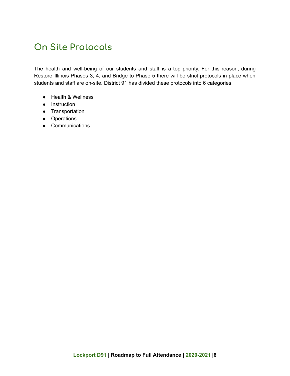# **On Site Protocols**

The health and well-being of our students and staff is a top priority. For this reason, during Restore Illinois Phases 3, 4, and Bridge to Phase 5 there will be strict protocols in place when students and staff are on-site. District 91 has divided these protocols into 6 categories:

- Health & Wellness
- Instruction
- Transportation
- Operations
- Communications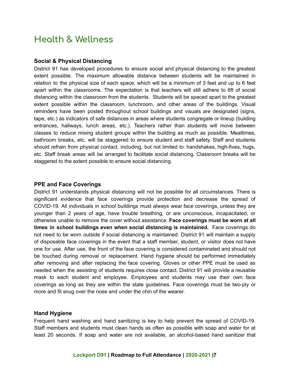# **Health & Wellness**

#### **Social & Physical Distancing**

District 91 has developed procedures to ensure social and physical distancing to the greatest extent possible. The maximum allowable distance between students will be maintained in relation to the physical size of each space, which will be a minimum of 3 feet and up to 6 feet apart within the classrooms. The expectation is that teachers will still adhere to 6ft of social distancing within the classroom from the students. Students will be spaced apart to the greatest extent possible within the classroom, lunchroom, and other areas of the buildings. Visual reminders have been posted throughout school buildings and visuals are designated (signs, tape, etc.) as indicators of safe distances in areas where students congregate or lineup (building entrances, hallways, lunch areas, etc.). Teachers rather than students will move between classes to reduce mixing student groups within the building as much as possible. Mealtimes, bathroom breaks, etc. will be staggered to ensure student and staff safety. Staff and students should refrain from physical contact, including, but not limited to: handshakes, high-fives, hugs, etc. Staff break areas will be arranged to facilitate social distancing. Classroom breaks will be staggered to the extent possible to ensure social distancing.

#### **PPE and Face Coverings**

District 91 understands physical distancing will not be possible for all circumstances. There is significant evidence that face coverings provide protection and decrease the spread of COVID-19. All individuals in school buildings must always wear face coverings, unless they are younger than 2 years of age, have trouble breathing, or are unconscious, incapacitated, or otherwise unable to remove the cover without assistance. **Face coverings must be worn at all times in school buildings even when social distancing is maintained.** Face coverings do not need to be worn outside if social distancing is maintained. District 91 will maintain a supply of disposable face coverings in the event that a staff member, student, or visitor does not have one for use. After use, the front of the face covering is considered contaminated and should not be touched during removal or replacement. Hand hygiene should be performed immediately after removing and after replacing the face covering. Gloves or other PPE must be used as needed when the assisting of students requires close contact. District 91 will provide a reusable mask to each student and employee. Employees and students may use their own face coverings as long as they are within the state guidelines. Face coverings must be two-ply or more and fit snug over the nose and under the chin of the wearer.

#### **Hand Hygiene**

Frequent hand washing and hand sanitizing is key to help prevent the spread of COVID-19. Staff members and students must clean hands as often as possible with soap and water for at least 20 seconds. If soap and water are not available, an alcohol-based hand sanitizer that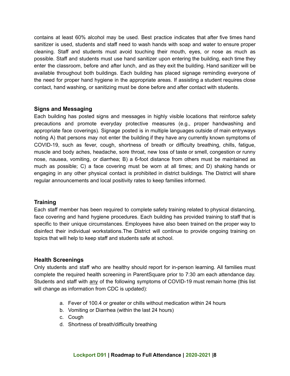contains at least 60% alcohol may be used. Best practice indicates that after five times hand sanitizer is used, students and staff need to wash hands with soap and water to ensure proper cleaning. Staff and students must avoid touching their mouth, eyes, or nose as much as possible. Staff and students must use hand sanitizer upon entering the building, each time they enter the classroom, before and after lunch, and as they exit the building. Hand sanitizer will be available throughout both buildings. Each building has placed signage reminding everyone of the need for proper hand hygiene in the appropriate areas. If assisting a student requires close contact, hand washing, or sanitizing must be done before and after contact with students.

#### **Signs and Messaging**

Each building has posted signs and messages in highly visible locations that reinforce safety precautions and promote everyday protective measures (e.g., proper handwashing and appropriate face coverings). Signage posted is in multiple languages outside of main entryways noting A) that persons may not enter the building if they have any currently known symptoms of COVID-19, such as fever, cough, shortness of breath or difficulty breathing, chills, fatigue, muscle and body aches, headache, sore throat, new loss of taste or smell, congestion or runny nose, nausea, vomiting, or diarrhea; B) a 6-foot distance from others must be maintained as much as possible; C) a face covering must be worn at all times; and D) shaking hands or engaging in any other physical contact is prohibited in district buildings. The District will share regular announcements and local positivity rates to keep families informed.

# **Training**

Each staff member has been required to complete safety training related to physical distancing, face covering and hand hygiene procedures. Each building has provided training to staff that is specific to their unique circumstances. Employees have also been trained on the proper way to disinfect their individual workstations.The District will continue to provide ongoing training on topics that will help to keep staff and students safe at school.

#### **Health Screenings**

Only students and staff who are healthy should report for in-person learning. All families must complete the required health screening in ParentSquare prior to 7:30 am each attendance day. Students and staff with any of the following symptoms of COVID-19 must remain home (this list will change as information from CDC is updated):

- a. Fever of 100.4 or greater or chills without medication within 24 hours
- b. Vomiting or Diarrhea (within the last 24 hours)
- c. Cough
- d. Shortness of breath/difficulty breathing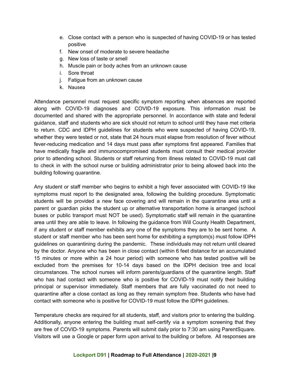- e. Close contact with a person who is suspected of having COVID-19 or has tested positive
- f. New onset of moderate to severe headache
- g. New loss of taste or smell
- h. Muscle pain or body aches from an unknown cause
- i. Sore throat
- j. Fatigue from an unknown cause
- k. Nausea

Attendance personnel must request specific symptom reporting when absences are reported along with COVID-19 diagnoses and COVID-19 exposure. This information must be documented and shared with the appropriate personnel. In accordance with state and federal guidance, staff and students who are sick should not return to school until they have met criteria to return. CDC and IDPH guidelines for students who were suspected of having COVID-19, whether they were tested or not, state that 24 hours must elapse from resolution of fever without fever-reducing medication and 14 days must pass after symptoms first appeared. Families that have medically fragile and immunocompromised students must consult their medical provider prior to attending school. Students or staff returning from illness related to COVID-19 must call to check in with the school nurse or building administrator prior to being allowed back into the building following quarantine.

Any student or staff member who begins to exhibit a high fever associated with COVID-19 like symptoms must report to the designated area, following the building procedure. Symptomatic students will be provided a new face covering and will remain in the quarantine area until a parent or guardian picks the student up or alternative transportation home is arranged (school buses or public transport must NOT be used). Symptomatic staff will remain in the quarantine area until they are able to leave. In following the guidance from Will County Health Department, if any student or staff member exhibits any one of the symptoms they are to be sent home. A student or staff member who has been sent home for exhibiting a symptom(s) must follow IDPH guidelines on quarantining during the pandemic. These individuals may not return until cleared by the doctor. Anyone who has been in close contact (within 6 feet distance for an accumulated 15 minutes or more within a 24 hour period) with someone who has tested positive will be excluded from the premises for 10-14 days based on the IDPH decision tree and local circumstances. The school nurses will inform parents/guardians of the quarantine length. Staff who has had contact with someone who is positive for COVID-19 must notify their building principal or supervisor immediately. Staff members that are fully vaccinated do not need to quarantine after a close contact as long as they remain symptom free. Students who have had contact with someone who is positive for COVID-19 must follow the IDPH guidelines.

Temperature checks are required for all students, staff, and visitors prior to entering the building. Additionally, anyone entering the building must self-certify via a symptom screening that they are free of COVID-19 symptoms. Parents will submit daily prior to 7:30 am using ParentSquare. Visitors will use a Google or paper form upon arrival to the building or before. All responses are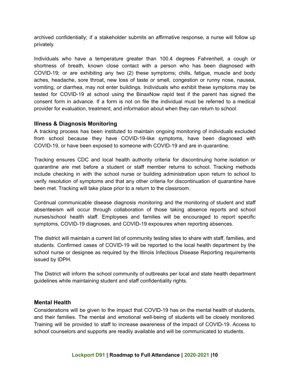archived confidentially; if a stakeholder submits an affirmative response, a nurse will follow up privately.

Individuals who have a temperature greater than 100.4 degrees Fahrenheit, a cough or shortness of breath, known close contact with a person who has been diagnosed with COVID-19; or are exhibiting any two (2) these symptoms; chills, fatigue, muscle and body aches, headache, sore throat, new loss of taste or smell, congestion or runny nose, nausea, vomiting, or diarrhea, may not enter buildings. Individuals who exhibit these symptoms may be tested for COVID-19 at school using the BinaxNow rapid test if the parent has signed the consent form in advance. If a form is not on file the individual must be referred to a medical provider for evaluation, treatment, and information about when they can return to school.

#### **Illness & Diagnosis Monitoring**

A tracking process has been instituted to maintain ongoing monitoring of individuals excluded from school because they have COVID-19-like symptoms, have been diagnosed with COVID-19, or have been exposed to someone with COVID-19 and are in quarantine.

Tracking ensures CDC and local health authority criteria for discontinuing home isolation or quarantine are met before a student or staff member returns to school. Tracking methods include checking in with the school nurse or building administration upon return to school to verify resolution of symptoms and that any other criteria for discontinuation of quarantine have been met. Tracking will take place prior to a return to the classroom.

Continual communicable disease diagnosis monitoring and the monitoring of student and staff absenteeism will occur through collaboration of those taking absence reports and school nurses/school health staff. Employees and families will be encouraged to report specific symptoms, COVID-19 diagnoses, and COVID-19 exposures when reporting absences.

The district will maintain a current list of community testing sites to share with staff, families, and students. Confirmed cases of COVID-19 will be reported to the local health department by the school nurse or designee as required by the Illinois Infectious Disease Reporting requirements issued by IDPH.

The District will inform the school community of outbreaks per local and state health department guidelines while maintaining student and staff confidentiality rights.

#### **Mental Health**

Considerations will be given to the impact that COVID-19 has on the mental health of students, and their families. The mental and emotional well-being of students will be closely monitored. Training will be provided to staff to increase awareness of the impact of COVID-19. Access to school counselors and supports are readily available and will be communicated to students.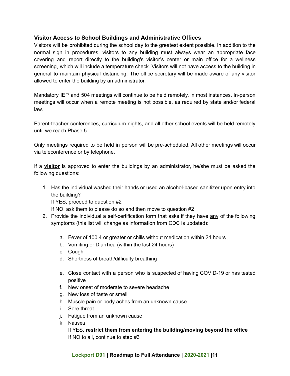# **Visitor Access to School Buildings and Administrative Offices**

Visitors will be prohibited during the school day to the greatest extent possible. In addition to the normal sign in procedures, visitors to any building must always wear an appropriate face covering and report directly to the building's visitor's center or main office for a wellness screening, which will include a temperature check. Visitors will not have access to the building in general to maintain physical distancing. The office secretary will be made aware of any visitor allowed to enter the building by an administrator.

Mandatory IEP and 504 meetings will continue to be held remotely, in most instances. In-person meetings will occur when a remote meeting is not possible, as required by state and/or federal law.

Parent-teacher conferences, curriculum nights, and all other school events will be held remotely until we reach Phase 5.

Only meetings required to be held in person will be pre-scheduled. All other meetings will occur via teleconference or by telephone.

If a **visitor** is approved to enter the buildings by an administrator, he/she must be asked the following questions:

1. Has the individual washed their hands or used an alcohol-based sanitizer upon entry into the building? If YES, proceed to question #2

If NO, ask them to please do so and then move to question #2

- 2. Provide the individual a self-certification form that asks if they have any of the following symptoms (this list will change as information from CDC is updated):
	- a. Fever of 100.4 or greater or chills without medication within 24 hours
	- b. Vomiting or Diarrhea (within the last 24 hours)
	- c. Cough
	- d. Shortness of breath/difficulty breathing
	- e. Close contact with a person who is suspected of having COVID-19 or has tested positive
	- f. New onset of moderate to severe headache
	- g. New loss of taste or smell
	- h. Muscle pain or body aches from an unknown cause
	- i. Sore throat
	- j. Fatigue from an unknown cause
	- k. Nausea

If YES, **restrict them from entering the building/moving beyond the office** If NO to all, continue to step #3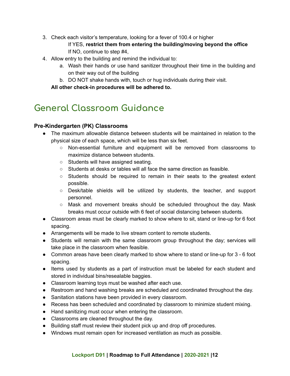3. Check each visitor's temperature, looking for a fever of 100.4 or higher

If YES, **restrict them from entering the building/moving beyond the office** If NO, continue to step #4,

- 4. Allow entry to the building and remind the individual to:
	- a. Wash their hands or use hand sanitizer throughout their time in the building and on their way out of the building
	- b. DO NOT shake hands with, touch or hug individuals during their visit.

**All other check-in procedures will be adhered to.**

# **General Classroom Guidance**

# **Pre-Kindergarten (PK) Classrooms**

- The maximum allowable distance between students will be maintained in relation to the physical size of each space, which will be less than six feet.
	- Non-essential furniture and equipment will be removed from classrooms to maximize distance between students.
	- Students will have assigned seating.
	- $\circ$  Students at desks or tables will all face the same direction as feasible.
	- Students should be required to remain in their seats to the greatest extent possible.
	- Desk/table shields will be utilized by students, the teacher, and support personnel.
	- $\circ$  Mask and movement breaks should be scheduled throughout the day. Mask breaks must occur outside with 6 feet of social distancing between students.
- Classroom areas must be clearly marked to show where to sit, stand or line-up for 6 foot spacing.
- Arrangements will be made to live stream content to remote students.
- Students will remain with the same classroom group throughout the day; services will take place in the classroom when feasible.
- Common areas have been clearly marked to show where to stand or line-up for 3 6 foot spacing.
- Items used by students as a part of instruction must be labeled for each student and stored in individual bins/resealable baggies.
- Classroom learning toys must be washed after each use.
- Restroom and hand washing breaks are scheduled and coordinated throughout the day.
- Sanitation stations have been provided in every classroom.
- Recess has been scheduled and coordinated by classroom to minimize student mixing.
- Hand sanitizing must occur when entering the classroom.
- Classrooms are cleaned throughout the day.
- Building staff must review their student pick up and drop off procedures.
- Windows must remain open for increased ventilation as much as possible.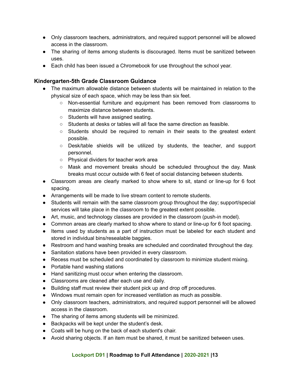- Only classroom teachers, administrators, and required support personnel will be allowed access in the classroom.
- The sharing of items among students is discouraged. Items must be sanitized between uses.
- Each child has been issued a Chromebook for use throughout the school year.

# **Kindergarten-5th Grade Classroom Guidance**

- The maximum allowable distance between students will be maintained in relation to the physical size of each space, which may be less than six feet.
	- Non-essential furniture and equipment has been removed from classrooms to maximize distance between students.
	- Students will have assigned seating.
	- Students at desks or tables will all face the same direction as feasible.
	- Students should be required to remain in their seats to the greatest extent possible.
	- Desk/table shields will be utilized by students, the teacher, and support personnel.
	- Physical dividers for teacher work area
	- Mask and movement breaks should be scheduled throughout the day. Mask breaks must occur outside with 6 feet of social distancing between students.
- Classroom areas are clearly marked to show where to sit, stand or line-up for 6 foot spacing.
- Arrangements will be made to live stream content to remote students.
- Students will remain with the same classroom group throughout the day; support/special services will take place in the classroom to the greatest extent possible.
- Art, music, and technology classes are provided in the classroom (push-in model).
- Common areas are clearly marked to show where to stand or line-up for 6 foot spacing.
- Items used by students as a part of instruction must be labeled for each student and stored in individual bins/resealable baggies.
- Restroom and hand washing breaks are scheduled and coordinated throughout the day.
- Sanitation stations have been provided in every classroom.
- Recess must be scheduled and coordinated by classroom to minimize student mixing.
- Portable hand washing stations
- Hand sanitizing must occur when entering the classroom.
- Classrooms are cleaned after each use and daily.
- Building staff must review their student pick up and drop off procedures.
- Windows must remain open for increased ventilation as much as possible.
- Only classroom teachers, administrators, and required support personnel will be allowed access in the classroom.
- The sharing of items among students will be minimized.
- Backpacks will be kept under the student's desk.
- Coats will be hung on the back of each student's chair.
- Avoid sharing objects. If an item must be shared, it must be sanitized between uses.

# **Lockport D91 | Roadmap to Full Attendance | 2020-2021 |13**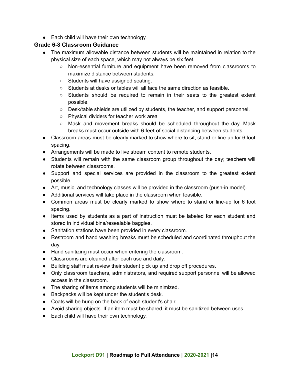● Each child will have their own technology.

# **Grade 6-8 Classroom Guidance**

- The maximum allowable distance between students will be maintained in relation to the physical size of each space, which may not always be six feet.
	- Non-essential furniture and equipment have been removed from classrooms to maximize distance between students.
	- Students will have assigned seating.
	- $\circ$  Students at desks or tables will all face the same direction as feasible.
	- Students should be required to remain in their seats to the greatest extent possible.
	- Desk/table shields are utilized by students, the teacher, and support personnel.
	- Physical dividers for teacher work area
	- $\circ$  Mask and movement breaks should be scheduled throughout the day. Mask breaks must occur outside with **6 feet** of social distancing between students.
- Classroom areas must be clearly marked to show where to sit, stand or line-up for 6 foot spacing.
- Arrangements will be made to live stream content to remote students.
- Students will remain with the same classroom group throughout the day; teachers will rotate between classrooms.
- Support and special services are provided in the classroom to the greatest extent possible.
- Art, music, and technology classes will be provided in the classroom (push-in model).
- Additional services will take place in the classroom when feasible.
- Common areas must be clearly marked to show where to stand or line-up for 6 foot spacing.
- Items used by students as a part of instruction must be labeled for each student and stored in individual bins/resealable baggies.
- Sanitation stations have been provided in every classroom.
- Restroom and hand washing breaks must be scheduled and coordinated throughout the day.
- Hand sanitizing must occur when entering the classroom.
- Classrooms are cleaned after each use and daily.
- Building staff must review their student pick up and drop off procedures.
- Only classroom teachers, administrators, and required support personnel will be allowed access in the classroom.
- The sharing of items among students will be minimized.
- Backpacks will be kept under the student's desk.
- Coats will be hung on the back of each student's chair.
- Avoid sharing objects. If an item must be shared, it must be sanitized between uses.
- Each child will have their own technology.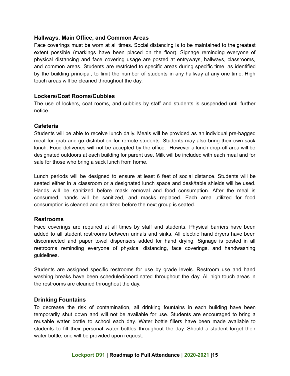### **Hallways, Main Office, and Common Areas**

Face coverings must be worn at all times. Social distancing is to be maintained to the greatest extent possible (markings have been placed on the floor). Signage reminding everyone of physical distancing and face covering usage are posted at entryways, hallways, classrooms, and common areas. Students are restricted to specific areas during specific time, as identified by the building principal, to limit the number of students in any hallway at any one time. High touch areas will be cleaned throughout the day.

#### **Lockers/Coat Rooms/Cubbies**

The use of lockers, coat rooms, and cubbies by staff and students is suspended until further notice.

#### **Cafeteria**

Students will be able to receive lunch daily. Meals will be provided as an individual pre-bagged meal for grab-and-go distribution for remote students. Students may also bring their own sack lunch. Food deliveries will not be accepted by the office. However a lunch drop-off area will be designated outdoors at each building for parent use. Milk will be included with each meal and for sale for those who bring a sack lunch from home.

Lunch periods will be designed to ensure at least 6 feet of social distance. Students will be seated either in a classroom or a designated lunch space and desk/table shields will be used. Hands will be sanitized before mask removal and food consumption. After the meal is consumed, hands will be sanitized, and masks replaced. Each area utilized for food consumption is cleaned and sanitized before the next group is seated.

#### **Restrooms**

Face coverings are required at all times by staff and students. Physical barriers have been added to all student restrooms between urinals and sinks. All electric hand dryers have been disconnected and paper towel dispensers added for hand drying. Signage is posted in all restrooms reminding everyone of physical distancing, face coverings, and handwashing guidelines.

Students are assigned specific restrooms for use by grade levels. Restroom use and hand washing breaks have been scheduled/coordinated throughout the day. All high touch areas in the restrooms are cleaned throughout the day.

#### **Drinking Fountains**

To decrease the risk of contamination, all drinking fountains in each building have been temporarily shut down and will not be available for use. Students are encouraged to bring a reusable water bottle to school each day. Water bottle fillers have been made available to students to fill their personal water bottles throughout the day. Should a student forget their water bottle, one will be provided upon request.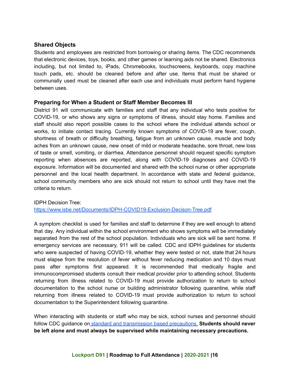# **Shared Objects**

Students and employees are restricted from borrowing or sharing items. The CDC recommends that electronic devices, toys, books, and other games or learning aids not be shared. Electronics including, but not limited to, iPads, Chromebooks, touchscreens, keyboards, copy machine touch pads, etc. should be cleaned before and after use. Items that must be shared or communally used must be cleaned after each use and individuals must perform hand hygiene between uses.

#### **Preparing for When a Student or Staff Member Becomes Ill**

District 91 will communicate with families and staff that any individual who tests positive for COVID-19, or who shows any signs or symptoms of illness, should stay home. Families and staff should also report possible cases to the school where the individual attends school or works, to initiate contact tracing. Currently known symptoms of COVID-19 are fever, cough, shortness of breath or difficulty breathing, fatigue from an unknown cause, muscle and body aches from an unknown cause, new onset of mild or moderate headache, sore throat, new loss of taste or smell, vomiting, or diarrhea. Attendance personnel should request specific symptom reporting when absences are reported, along with COVID-19 diagnoses and COVID-19 exposure. Information will be documented and shared with the school nurse or other appropriate personnel and the local health department. In accordance with state and federal guidance, school community members who are sick should not return to school until they have met the criteria to return.

#### IDPH Decision Tree:

<https://www.isbe.net/Documents/IDPH-COVID19-Exclusion-Decison-Tree.pdf>

A symptom checklist is used for families and staff to determine if they are well enough to attend that day. Any individual within the school environment who shows symptoms will be immediately separated from the rest of the school population. Individuals who are sick will be sent home. If emergency services are necessary, 911 will be called. CDC and IDPH guidelines for students who were suspected of having COVID-19, whether they were tested or not, state that 24 hours must elapse from the resolution of fever without fever reducing medication and 10 days must pass after symptoms first appeared. It is recommended that medically fragile and immunocompromised students consult their medical provider prior to attending school. Students returning from illness related to COVID-19 must provide authorization to return to school documentation to the school nurse or building administrator following quarantine, while staff returning from illness related to COVID-19 must provide authorization to return to school documentation to the Superintendent following quarantine.

When interacting with students or staff who may be sick, school nurses and personnel should follow CDC guidance on standard and [transmission](https://www.cdc.gov/coronavirus/2019-ncov/hcp/using-ppe.html) based precautions. **Students should never be left alone and must always be supervised while maintaining necessary precautions.**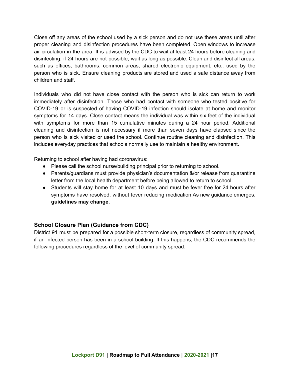Close off any areas of the school used by a sick person and do not use these areas until after proper cleaning and disinfection procedures have been completed. Open windows to increase air circulation in the area. It is advised by the CDC to wait at least 24 hours before cleaning and disinfecting; if 24 hours are not possible, wait as long as possible. Clean and disinfect all areas, such as offices, bathrooms, common areas, shared electronic equipment, etc., used by the person who is sick. Ensure cleaning products are stored and used a safe distance away from children and staff.

Individuals who did not have close contact with the person who is sick can return to work immediately after disinfection. Those who had contact with someone who tested positive for COVID-19 or is suspected of having COVID-19 infection should isolate at home and monitor symptoms for 14 days. Close contact means the individual was within six feet of the individual with symptoms for more than 15 cumulative minutes during a 24 hour period. Additional cleaning and disinfection is not necessary if more than seven days have elapsed since the person who is sick visited or used the school. Continue routine cleaning and disinfection. This includes everyday practices that schools normally use to maintain a healthy environment.

Returning to school after having had coronavirus:

- Please call the school nurse/building principal prior to returning to school.
- Parents/guardians must provide physician's documentation &/or release from quarantine letter from the local health department before being allowed to return to school.
- Students will stay home for at least 10 days and must be fever free for 24 hours after symptoms have resolved, without fever reducing medication As new guidance emerges, **guidelines may change.**

# **School Closure Plan (Guidance from CDC)**

District 91 must be prepared for a possible short-term closure, regardless of community spread, if an infected person has been in a school building. If this happens, the CDC recommends the following procedures regardless of the level of community spread.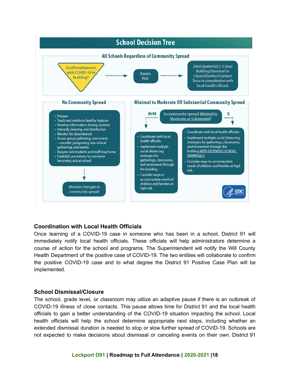

# **Coordination with Local Health Officials**

Once learning of a COVID-19 case in someone who has been in a school, District 91 will immediately notify local health officials. These officials will help administrators determine a course of action for the school and programs. The Superintendent will notify the Will County Health Department of the positive case of COVID-19. The two entities will collaborate to confirm the positive COVID-19 case and to what degree the District 91 Positive Case Plan will be implemented.

#### **School Dismissal/Closure**

The school, grade level, or classroom may utilize an adaptive pause if there is an outbreak of COVID-19 illness of close contacts. This pause allows time for District 91 and the local health officials to gain a better understanding of the COVID-19 situation impacting the school. Local health officials will help the school determine appropriate next steps, including whether an extended dismissal duration is needed to stop or slow further spread of COVID-19. Schools are not expected to make decisions about dismissal or canceling events on their own. District 91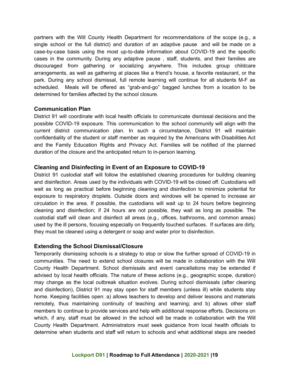partners with the Will County Health Department for recommendations of the scope (e.g., a single school or the full district) and duration of an adaptive pause and will be made on a case-by-case basis using the most up-to-date information about COVID-19 and the specific cases in the community. During any adaptive pause , staff, students, and their families are discouraged from gathering or socializing anywhere. This includes group childcare arrangements, as well as gathering at places like a friend's house, a favorite restaurant, or the park. During any school dismissal, full remote learning will continue for all students M-F as scheduled. Meals will be offered as "grab-and-go" bagged lunches from a location to be determined for families affected by the school closure.

#### **Communication Plan**

District 91 will coordinate with local health officials to communicate dismissal decisions and the possible COVID-19 exposure. This communication to the school community will align with the current district communication plan. In such a circumstance, District 91 will maintain confidentiality of the student or staff member as required by the Americans with Disabilities Act and the Family Education Rights and Privacy Act. Families will be notified of the planned duration of the closure and the anticipated return to in-person learning.

# **Cleaning and Disinfecting in Event of an Exposure to COVID-19**

District 91 custodial staff will follow the established cleaning procedures for building cleaning and disinfection. Areas used by the individuals with COVID-19 will be closed off. Custodians will wait as long as practical before beginning cleaning and disinfection to minimize potential for exposure to respiratory droplets. Outside doors and windows will be opened to increase air circulation in the area. If possible, the custodians will wait up to 24 hours before beginning cleaning and disinfection; if 24 hours are not possible, they wait as long as possible. The custodial staff will clean and disinfect all areas (e.g., offices, bathrooms, and common areas) used by the ill persons, focusing especially on frequently touched surfaces. If surfaces are dirty, they must be cleaned using a detergent or soap and water prior to disinfection.

# **Extending the School Dismissal/Closure**

Temporarily dismissing schools is a strategy to stop or slow the further spread of COVID-19 in communities. The need to extend school closures will be made in collaboration with the Will County Health Department. School dismissals and event cancellations may be extended if advised by local health officials. The nature of these actions (e.g., geographic scope, duration) may change as the local outbreak situation evolves. During school dismissals (after cleaning and disinfection), District 91 may stay open for staff members (unless ill) while students stay home. Keeping facilities open: a) allows teachers to develop and deliver lessons and materials remotely, thus maintaining continuity of teaching and learning; and b) allows other staff members to continue to provide services and help with additional response efforts. Decisions on which, if any, staff must be allowed in the school will be made in collaboration with the Will County Health Department. Administrators must seek guidance from local health officials to determine when students and staff will return to schools and what additional steps are needed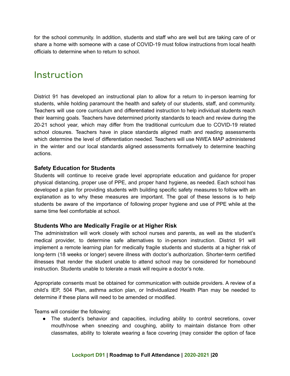for the school community. In addition, students and staff who are well but are taking care of or share a home with someone with a case of COVID-19 must follow instructions from local health officials to determine when to return to school.

# **Instruction**

District 91 has developed an instructional plan to allow for a return to in-person learning for students, while holding paramount the health and safety of our students, staff, and community. Teachers will use core curriculum and differentiated instruction to help individual students reach their learning goals. Teachers have determined priority standards to teach and review during the 20-21 school year, which may differ from the traditional curriculum due to COVID-19 related school closures. Teachers have in place standards aligned math and reading assessments which determine the level of differentiation needed. Teachers will use NWEA MAP administered in the winter and our local standards aligned assessments formatively to determine teaching actions.

# **Safety Education for Students**

Students will continue to receive grade level appropriate education and guidance for proper physical distancing, proper use of PPE, and proper hand hygiene, as needed. Each school has developed a plan for providing students with building specific safety measures to follow with an explanation as to why these measures are important. The goal of these lessons is to help students be aware of the importance of following proper hygiene and use of PPE while at the same time feel comfortable at school.

# **Students Who are Medically Fragile or at Higher Risk**

The administration will work closely with school nurses and parents, as well as the student's medical provider, to determine safe alternatives to in-person instruction. District 91 will implement a remote learning plan for medically fragile students and students at a higher risk of long-term (18 weeks or longer) severe illness with doctor's authorization. Shorter-term certified illnesses that render the student unable to attend school may be considered for homebound instruction. Students unable to tolerate a mask will require a doctor's note.

Appropriate consents must be obtained for communication with outside providers. A review of a child's IEP, 504 Plan, asthma action plan, or Individualized Health Plan may be needed to determine if these plans will need to be amended or modified.

Teams will consider the following:

● The student's behavior and capacities, including ability to control secretions, cover mouth/nose when sneezing and coughing, ability to maintain distance from other classmates, ability to tolerate wearing a face covering (may consider the option of face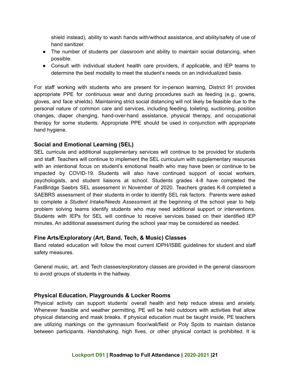shield instead), ability to wash hands with/without assistance, and ability/safety of use of hand sanitizer.

- The number of students per classroom and ability to maintain social distancing, when possible.
- Consult with individual student health care providers, if applicable, and IEP teams to determine the best modality to meet the student's needs on an individualized basis.

For staff working with students who are present for in-person learning, District 91 provides appropriate PPE for continuous wear and during procedures such as feeding (e.g., gowns, gloves, and face shields). Maintaining strict social distancing will not likely be feasible due to the personal nature of common care and services, including feeding, toileting, suctioning, position changes, diaper changing, hand-over-hand assistance, physical therapy, and occupational therapy for some students. Appropriate PPE should be used in conjunction with appropriate hand hygiene.

# **Social and Emotional Learning (SEL)**

SEL curricula and additional supplementary services will continue to be provided for students and staff. Teachers will continue to implement the SEL curriculum with supplementary resources with an intentional focus on student's emotional health who may have been or continue to be impacted by COVID-19. Students will also have continued support of social workers, psychologists, and student liaisons at school. Students grades 4-8 have completed the FastBridge Saebrs SEL assessment in November of 2020. Teachers grades K-8 completed a SAEBRS assessment of their students in order to identify SEL risk factors. Parents were asked to complete a *Student Intake/Needs Assessmen*t at the beginning of the school year to help problem solving teams identify students who may need additional support or interventions. Students with IEPs for SEL will continue to receive services based on their identified IEP minutes. An additional assessment during the school year may be considered as needed.

# **Fine Arts/Exploratory (Art, Band, Tech, & Music) Classes**

Band related education will follow the most current IDPH/ISBE guidelines for student and staff safety measures.

General music, art, and Tech classes/exploratory classes are provided in the general classroom to avoid groups of students in the hallway.

# **Physical Education, Playgrounds & Locker Rooms**

Physical activity can support students' overall health and help reduce stress and anxiety. Whenever feasible and weather permitting, PE will be held outdoors with activities that allow physical distancing and mask breaks. If physical education must be taught inside, PE teachers are utilizing markings on the gymnasium floor/wall/field or Poly Spots to maintain distance between participants. Handshaking, high fives, or other physical contact is prohibited. It is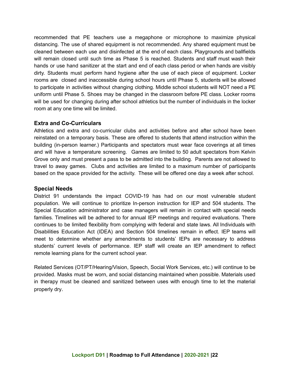recommended that PE teachers use a megaphone or microphone to maximize physical distancing. The use of shared equipment is not recommended. Any shared equipment must be cleaned between each use and disinfected at the end of each class. Playgrounds and ballfields will remain closed until such time as Phase 5 is reached. Students and staff must wash their hands or use hand sanitizer at the start and end of each class period or when hands are visibly dirty. Students must perform hand hygiene after the use of each piece of equipment. Locker rooms are closed and inaccessible during school hours until Phase 5, students will be allowed to participate in activities without changing clothing. Middle school students will NOT need a PE uniform until Phase 5. Shoes may be changed in the classroom before PE class. Locker rooms will be used for changing during after school athletics but the number of individuals in the locker room at any one time will be limited.

# **Extra and Co-Curriculars**

Athletics and extra and co-curricular clubs and activities before and after school have been reinstated on a temporary basis. These are offered to students that attend instruction within the building (in-person learner.) Participants and spectators must wear face coverings at all times and will have a temperature screening. Games are limited to 50 adult spectators from Kelvin Grove only and must present a pass to be admitted into the building. Parents are not allowed to travel to away games. Clubs and activities are limited to a maximum number of participants based on the space provided for the activity. These will be offered one day a week after school.

#### **Special Needs**

District 91 understands the impact COVID-19 has had on our most vulnerable student population. We will continue to prioritize In-person instruction for IEP and 504 students. The Special Education administrator and case managers will remain in contact with special needs families. Timelines will be adhered to for annual IEP meetings and required evaluations. There continues to be limited flexibility from complying with federal and state laws. All Individuals with Disabilities Education Act (IDEA) and Section 504 timelines remain in effect. IEP teams will meet to determine whether any amendments to students' IEPs are necessary to address students' current levels of performance. IEP staff will create an IEP amendment to reflect remote learning plans for the current school year.

Related Services (OT/PT/Hearing/Vision, Speech, Social Work Services, etc.) will continue to be provided. Masks must be worn, and social distancing maintained when possible. Materials used in therapy must be cleaned and sanitized between uses with enough time to let the material properly dry.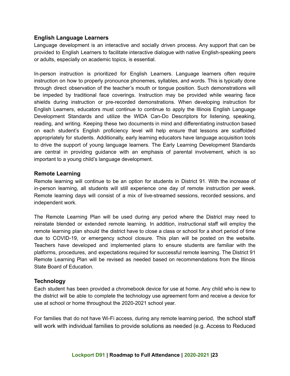### **English Language Learners**

Language development is an interactive and socially driven process. Any support that can be provided to English Learners to facilitate interactive dialogue with native English-speaking peers or adults, especially on academic topics, is essential.

In-person instruction is prioritized for English Learners. Language learners often require instruction on how to properly pronounce phonemes, syllables, and words. This is typically done through direct observation of the teacher's mouth or tongue position. Such demonstrations will be impeded by traditional face coverings. Instruction may be provided while wearing face shields during instruction or pre-recorded demonstrations. When developing instruction for English Learners, educators must continue to continue to apply the Illinois English Language Development Standards and utilize the WIDA Can-Do Descriptors for listening, speaking, reading, and writing. Keeping these two documents in mind and differentiating instruction based on each student's English proficiency level will help ensure that lessons are scaffolded appropriately for students. Additionally, early learning educators have language acquisition tools to drive the support of young language learners. The Early Learning Development Standards are central in providing guidance with an emphasis of parental involvement, which is so important to a young child's language development.

#### **Remote Learning**

Remote learning will continue to be an option for students in District 91. With the increase of in-person learning, all students will still experience one day of remote instruction per week. Remote learning days will consist of a mix of live-streamed sessions, recorded sessions, and independent work.

The Remote Learning Plan will be used during any period where the District may need to reinstate blended or extended remote learning. In addition, instructional staff will employ the remote learning plan should the district have to close a class or school for a short period of time due to COVID-19, or emergency school closure. This plan will be posted on the website. Teachers have developed and implemented plans to ensure students are familiar with the platforms, procedures, and expectations required for successful remote learning. The District 91 Remote Learning Plan will be revised as needed based on recommendations from the Illinois State Board of Education.

#### **Technology**

Each student has been provided a chromebook device for use at home. Any child who is new to the district will be able to complete the technology use agreement form and receive a device for use at school or home throughout the 2020-2021 school year.

For families that do not have Wi-Fi access, during any remote learning period, the school staff will work with individual families to provide solutions as needed (e.g. Access to Reduced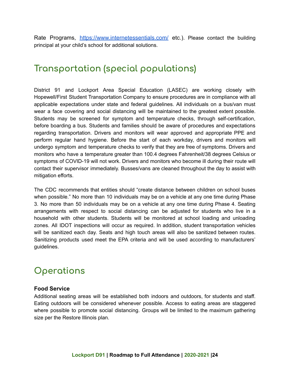Rate Programs, <https://www.internetessentials.com/> etc.). Please contact the building principal at your child's school for additional solutions.

# **Transportation (special populations)**

District 91 and Lockport Area Special Education (LASEC) are working closely with Hopewell/First Student Transportation Company to ensure procedures are in compliance with all applicable expectations under state and federal guidelines. All individuals on a bus/van must wear a face covering and social distancing will be maintained to the greatest extent possible. Students may be screened for symptom and temperature checks, through self-certification, before boarding a bus. Students and families should be aware of procedures and expectations regarding transportation. Drivers and monitors will wear approved and appropriate PPE and perform regular hand hygiene. Before the start of each workday, drivers and monitors will undergo symptom and temperature checks to verify that they are free of symptoms. Drivers and monitors who have a temperature greater than 100.4 degrees Fahrenheit/38 degrees Celsius or symptoms of COVID-19 will not work. Drivers and monitors who become ill during their route will contact their supervisor immediately. Busses/vans are cleaned throughout the day to assist with mitigation efforts.

The CDC recommends that entities should "create distance between children on school buses when possible." No more than 10 individuals may be on a vehicle at any one time during Phase 3. No more than 50 individuals may be on a vehicle at any one time during Phase 4. Seating arrangements with respect to social distancing can be adjusted for students who live in a household with other students. Students will be monitored at school loading and unloading zones. All IDOT inspections will occur as required. In addition, student transportation vehicles will be sanitized each day. Seats and high touch areas will also be sanitized between routes. Sanitizing products used meet the EPA criteria and will be used according to manufacturers' guidelines.

# **Operations**

# **Food Service**

Additional seating areas will be established both indoors and outdoors, for students and staff. Eating outdoors will be considered whenever possible. Access to eating areas are staggered where possible to promote social distancing. Groups will be limited to the maximum gathering size per the Restore Illinois plan.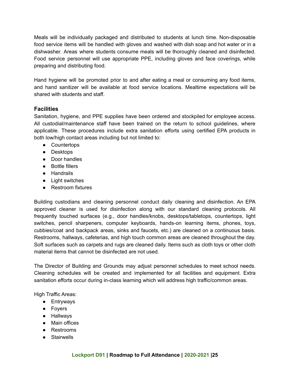Meals will be individually packaged and distributed to students at lunch time. Non-disposable food service items will be handled with gloves and washed with dish soap and hot water or in a dishwasher. Areas where students consume meals will be thoroughly cleaned and disinfected. Food service personnel will use appropriate PPE, including gloves and face coverings, while preparing and distributing food.

Hand hygiene will be promoted prior to and after eating a meal or consuming any food items, and hand sanitizer will be available at food service locations. Mealtime expectations will be shared with students and staff.

# **Facilities**

Sanitation, hygiene, and PPE supplies have been ordered and stockpiled for employee access. All custodial/maintenance staff have been trained on the return to school guidelines, where applicable. These procedures include extra sanitation efforts using certified EPA products in both low/high contact areas including but not limited to:

- Countertops
- Desktops
- Door handles
- Bottle fillers
- Handrails
- Light switches
- Restroom fixtures

Building custodians and cleaning personnel conduct daily cleaning and disinfection. An EPA approved cleaner is used for disinfection along with our standard cleaning protocols. All frequently touched surfaces (e.g., door handles/knobs, desktops/tabletops, countertops, light switches, pencil sharpeners, computer keyboards, hands-on learning items, phones, toys, cubbies/coat and backpack areas, sinks and faucets, etc.) are cleaned on a continuous basis. Restrooms, hallways, cafeterias, and high touch common areas are cleaned throughout the day. Soft surfaces such as carpets and rugs are cleaned daily. Items such as cloth toys or other cloth material items that cannot be disinfected are not used.

The Director of Building and Grounds may adjust personnel schedules to meet school needs. Cleaning schedules will be created and implemented for all facilities and equipment. Extra sanitation efforts occur during in-class learning which will address high traffic/common areas.

High Traffic Areas:

- Entryways
- Foyers
- Hallways
- Main offices
- Restrooms
- Stairwells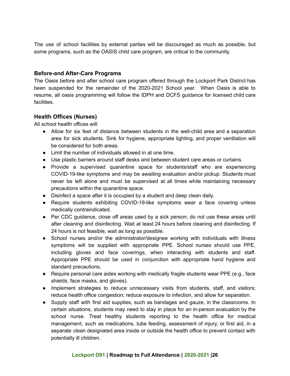The use of school facilities by external parties will be discouraged as much as possible, but some programs, such as the OASIS child care program, are critical to the community.

# **Before-and After-Care Programs**

The Oasis before and after school care program offered through the Lockport Park District has been suspended for the remainder of the 2020-2021 School year. When Oasis is able to resume, all oasis programming will follow the IDPH and DCFS guidance for licensed child care facilities.

# **Health Offices (Nurses)**

All school health offices will:

- Allow for six feet of distance between students in the well-child area and a separation area for sick students. Sink for hygiene, appropriate lighting, and proper ventilation will be considered for both areas.
- Limit the number of individuals allowed in at one time.
- Use plastic barriers around staff desks and between student care areas or curtains.
- Provide a supervised quarantine space for students/staff who are experiencing COVID-19-like symptoms and may be awaiting evaluation and/or pickup. Students must never be left alone and must be supervised at all times while maintaining necessary precautions within the quarantine space.
- Disinfect a space after it is occupied by a student and deep clean daily.
- Require students exhibiting COVID-19-like symptoms wear a face covering unless medically contraindicated.
- Per CDC guidance, close off areas used by a sick person; do not use these areas until after cleaning and disinfecting. Wait at least 24 hours before cleaning and disinfecting. If 24 hours is not feasible, wait as long as possible.
- School nurses and/or the administrator/designee working with individuals with illness symptoms will be supplied with appropriate PPE. School nurses should use PPE, including gloves and face coverings, when interacting with students and staff. Appropriate PPE should be used in conjunction with appropriate hand hygiene and standard precautions.
- Require personal care aides working with medically fragile students wear PPE (e.g., face shields, face masks, and gloves).
- Implement strategies to reduce unnecessary visits from students, staff, and visitors; reduce health office congestion; reduce exposure to infection, and allow for separation.
- Supply staff with first aid supplies, such as bandages and gauze, in the classrooms. In certain situations, students may need to stay in place for an in-person evaluation by the school nurse. Treat healthy students reporting to the health office for medical management, such as medications, tube feeding, assessment of injury, or first aid, in a separate clean designated area inside or outside the health office to prevent contact with potentially ill children.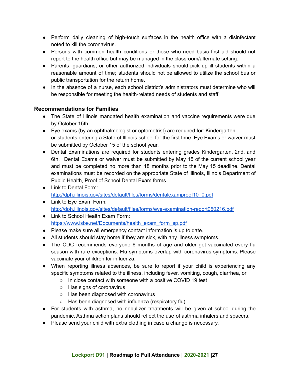- Perform daily cleaning of high-touch surfaces in the health office with a disinfectant noted to kill the coronavirus.
- Persons with common health conditions or those who need basic first aid should not report to the health office but may be managed in the classroom/alternate setting.
- Parents, guardians, or other authorized individuals should pick up ill students within a reasonable amount of time; students should not be allowed to utilize the school bus or public transportation for the return home.
- In the absence of a nurse, each school district's administrators must determine who will be responsible for meeting the health-related needs of students and staff.

# **Recommendations for Families**

- The State of Illinois mandated health examination and vaccine requirements were due by October 15th.
- Eye exams (by an ophthalmologist or optometrist) are required for: Kindergarten or students entering a State of Illinois school for the first time. Eye Exams or waiver must be submitted by October 15 of the school year.
- Dental Examinations are required for students entering grades Kindergarten, 2nd, and 6th. Dental Exams or waiver must be submitted by May 15 of the current school year and must be completed no more than 18 months prior to the May 15 deadline. Dental examinations must be recorded on the appropriate State of Illinois, Illinois Department of Public Health, Proof of School Dental Exam forms.
- Link to Dental Form: [http://dph.illinois.gov/sites/default/files/forms/dentalexamproof10\\_0.pdf](http://dph.illinois.gov/sites/default/files/forms/dentalexamproof10_0.pdf)
- Link to Eye Exam Form: <http://dph.illinois.gov/sites/default/files/forms/eye-examination-report050216.pdf>
- Link to School Health Exam Form: [https://www.isbe.net/Documents/health\\_exam\\_form\\_sp.pdf](https://www.isbe.net/Documents/health_exam_form_sp.pdf)
- Please make sure all emergency contact information is up to date.
- All students should stay home if they are sick, with any illness symptoms.
- The CDC recommends everyone 6 months of age and older get vaccinated every flu season with rare exceptions. Flu symptoms overlap with coronavirus symptoms. Please vaccinate your children for influenza.
- When reporting illness absences, be sure to report if your child is experiencing any specific symptoms related to the illness, including fever, vomiting, cough, diarrhea, or
	- In close contact with someone with a positive COVID 19 test
	- Has signs of coronavirus
	- Has been diagnosed with coronavirus
	- Has been diagnosed with influenza (respiratory flu).
- For students with asthma, no nebulizer treatments will be given at school during the pandemic. Asthma action plans should reflect the use of asthma inhalers and spacers.
- Please send your child with extra clothing in case a change is necessary.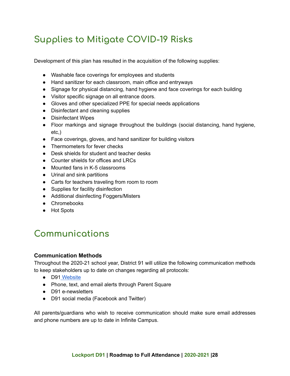# **Supplies to Mitigate COVID-19 Risks**

Development of this plan has resulted in the acquisition of the following supplies:

- Washable face coverings for employees and students
- Hand sanitizer for each classroom, main office and entryways
- Signage for physical distancing, hand hygiene and face coverings for each building
- Visitor specific signage on all entrance doors.
- Gloves and other specialized PPE for special needs applications
- Disinfectant and cleaning supplies
- Disinfectant Wipes
- Floor markings and signage throughout the buildings (social distancing, hand hygiene, etc,)
- Face coverings, gloves, and hand sanitizer for building visitors
- Thermometers for fever checks
- Desk shields for student and teacher desks
- Counter shields for offices and LRCs
- Mounted fans in K-5 classrooms
- Urinal and sink partitions
- Carts for teachers traveling from room to room
- Supplies for facility disinfection
- Additional disinfecting Foggers/Misters
- Chromebooks
- Hot Spots

# **Communications**

# **Communication Methods**

Throughout the 2020-21 school year, District 91 will utilize the following communication methods to keep stakeholders up to date on changes regarding all protocols:

- D91 [Website](http://www.d91.net/)
- Phone, text, and email alerts through Parent Square
- D91 e-newsletters
- D91 social media (Facebook and Twitter)

All parents/guardians who wish to receive communication should make sure email addresses and phone numbers are up to date in Infinite Campus.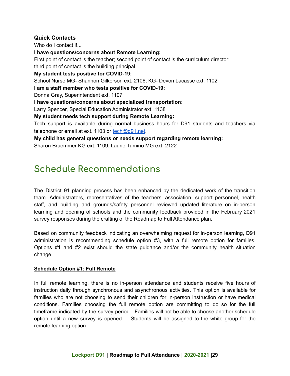# **Quick Contacts**

Who do I contact if...

**I have questions/concerns about Remote Learning:**

First point of contact is the teacher; second point of contact is the curriculum director; third point of contact is the building principal

**My student tests positive for COVID-19:**

School Nurse MG- Shannon Gilkerson ext. 2106; KG- Devon Lacasse ext. 1102

**I am a staff member who tests positive for COVID-19:**

Donna Gray, Superintendent ext. 1107

**I have questions/concerns about specialized transportation**:

Larry Spencer, Special Education Administrator ext. 1138

**My student needs tech support during Remote Learning:**

Tech support is available during normal business hours for D91 students and teachers via telephone or email at ext. 1103 or [tech@d91.net.](mailto:tech@d91.net)

**My child has general questions or needs support regarding remote learning:** Sharon Bruemmer KG ext. 1109; Laurie Tumino MG ext. 2122

# **Schedule Recommendations**

The District 91 planning process has been enhanced by the dedicated work of the transition team. Administrators, representatives of the teachers' association, support personnel, health staff, and building and grounds/safety personnel reviewed updated literature on in-person learning and opening of schools and the community feedback provided in the February 2021 survey responses during the crafting of the Roadmap to Full Attendance plan.

Based on community feedback indicating an overwhelming request for in-person learning, D91 administration is recommending schedule option #3, with a full remote option for families. Options #1 and #2 exist should the state guidance and/or the community health situation change.

# **Schedule Option #1: Full Remote**

In full remote learning, there is no in-person attendance and students receive five hours of instruction daily through synchronous and asynchronous activities. This option is available for families who are not choosing to send their children for in-person instruction or have medical conditions. Families choosing the full remote option are committing to do so for the full timeframe indicated by the survey period. Families will not be able to choose another schedule option until a new survey is opened. Students will be assigned to the white group for the remote learning option.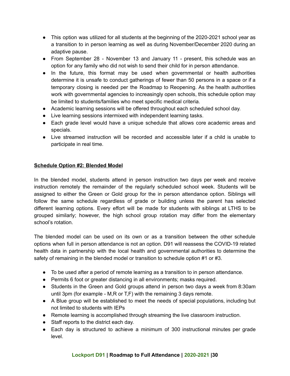- This option was utilized for all students at the beginning of the 2020-2021 school year as a transition to in person learning as well as during November/December 2020 during an adaptive pause.
- From September 28 November 13 and January 11 present, this schedule was an option for any family who did not wish to send their child for in person attendance.
- In the future, this format may be used when governmental or health authorities determine it is unsafe to conduct gatherings of fewer than 50 persons in a space or if a temporary closing is needed per the Roadmap to Reopening. As the health authorities work with governmental agencies to increasingly open schools, this schedule option may be limited to students/families who meet specific medical criteria.
- Academic learning sessions will be offered throughout each scheduled school day.
- Live learning sessions intermixed with independent learning tasks.
- Each grade level would have a unique schedule that allows core academic areas and specials.
- Live streamed instruction will be recorded and accessible later if a child is unable to participate in real time.

# **Schedule Option #2: Blended Model**

In the blended model, students attend in person instruction two days per week and receive instruction remotely the remainder of the regularly scheduled school week. Students will be assigned to either the Green or Gold group for the in person attendance option. Siblings will follow the same schedule regardless of grade or building unless the parent has selected different learning options. Every effort will be made for students with siblings at LTHS to be grouped similarly; however, the high school group rotation may differ from the elementary school's rotation.

The blended model can be used on its own or as a transition between the other schedule options when full in person attendance is not an option. D91 will reassess the COVID-19 related health data in partnership with the local health and governmental authorities to determine the safety of remaining in the blended model or transition to schedule option #1 or #3.

- To be used after a period of remote learning as a transition to in person attendance.
- Permits 6 foot or greater distancing in all environments; masks required.
- Students in the Green and Gold groups attend in person two days a week from 8:30am until 3pm (for example - M,R or T,F) with the remaining 3 days remote.
- A Blue group will be established to meet the needs of special populations, including but not limited to students with IEPs
- Remote learning is accomplished through streaming the live classroom instruction.
- Staff reports to the district each day.
- Each day is structured to achieve a minimum of 300 instructional minutes per grade level.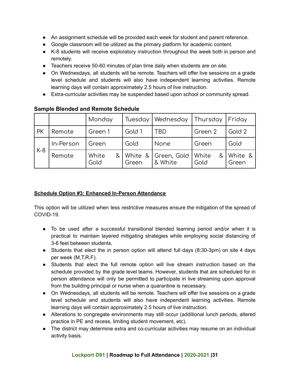- An assignment schedule will be provided each week for student and parent reference.
- Google classroom will be utilized as the primary platform for academic content.
- K-8 students will receive exploratory instruction throughout the week both in person and remotely.
- Teachers receive 50-60 minutes of plan time daily when students are on site.
- On Wednesdays, all students will be remote. Teachers will offer live sessions on a grade level schedule and students will also have independent learning activities. Remote learning days will contain approximately 2.5 hours of live instruction.
- Extra-curricular activities may be suspended based upon school or community spread.

|           |           | Monday             | Tuesday | Wednesday                      | Thursday      | Friday             |
|-----------|-----------|--------------------|---------|--------------------------------|---------------|--------------------|
| <b>PK</b> | Remote    | Green 1            | Gold 1  | TBD                            | Green 2       | Gold 2             |
| $K-8$     | In-Person | Green              | Gold    | None                           | Green         | Gold               |
|           | Remote    | White<br>&<br>Gold | Green   | White & Green, Gold<br>& White | White<br>Gold | & White &<br>Green |

# **Sample Blended and Remote Schedule**

# **Schedule Option #3: Enhanced In-Person Attendance**

This option will be utilized when less restrictive measures ensure the mitigation of the spread of COVID-19.

- To be used after a successful transitional blended learning period and/or when it is practical to maintain layered mitigating strategies while employing social distancing of 3-6 feet between students.
- Students that elect the in person option will attend full days (8:30-3pm) on site 4 days per week (M,T,R.F).
- Students that elect the full remote option will live stream instruction based on the schedule provided by the grade level teams. However, students that are scheduled for in person attendance will only be permitted to participate in live streaming upon approval from the building principal or nurse when a quarantine is necessary.
- On Wednesdays, all students will be remote. Teachers will offer live sessions on a grade level schedule and students will also have independent learning activities. Remote learning days will contain approximately 2.5 hours of live instruction.
- Alterations to congregate environments may still occur (additional lunch periods, altered practice in PE and recess, limiting student movement, etc).
- The district may determine extra and co-curricular activities may resume on an individual activity basis.